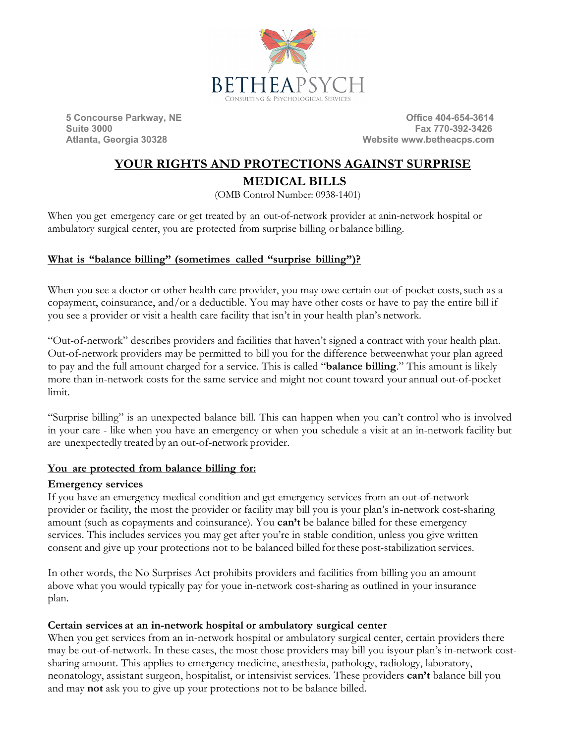

**5 Concourse Parkway, NE Concourse 2018 19:30 19:30 19:30 19:30 19:30 19:30 19:30 19:30 19:30 19:30 19:30 19:30 19:30 19:30 19:30 19:30 19:30 19:30 19:30 19:30 19:30 19:30 19:30 19:30 19:30 19:30 19:30 19:30 19:30 19:30 19 Suite 3000 Fax 770-392-3426 Website www.betheacps.com** 

# **YOUR RIGHTS AND PROTECTIONS AGAINST SURPRISE MEDICAL BILLS**

(OMB Control Number: 0938-1401)

When you get emergency care or get treated by an out-of-network provider at anin-network hospital or ambulatory surgical center, you are protected from surprise billing or balance billing.

## **What is "balance billing" (sometimes called "surprise billing")?**

When you see a doctor or other health care provider, you may owe certain out-of-pocket costs, such as a copayment, coinsurance, and/or a deductible. You may have other costs or have to pay the entire bill if you see a provider or visit a health care facility that isn't in your health plan's network.

"Out-of-network" describes providers and facilities that haven't signed a contract with your health plan. Out-of-network providers may be permitted to bill you for the difference betweenwhat your plan agreed to pay and the full amount charged for a service. This is called "**balance billing**." This amount is likely more than in-network costs for the same service and might not count toward your annual out-of-pocket limit.

"Surprise billing" is an unexpected balance bill. This can happen when you can't control who is involved in your care - like when you have an emergency or when you schedule a visit at an in-network facility but are unexpectedly treated by an out-of-network provider.

## **You are protected from balance billing for:**

#### **Emergency services**

If you have an emergency medical condition and get emergency services from an out-of-network provider or facility, the most the provider or facility may bill you is your plan's in-network cost-sharing amount (such as copayments and coinsurance). You **can't** be balance billed for these emergency services. This includes services you may get after you're in stable condition, unless you give written consent and give up your protections not to be balanced billed forthese post-stabilization services.

In other words, the No Surprises Act prohibits providers and facilities from billing you an amount above what you would typically pay for youe in-network cost-sharing as outlined in your insurance plan.

## **Certain services at an in-network hospital or ambulatory surgical center**

When you get services from an in-network hospital or ambulatory surgical center, certain providers there may be out-of-network. In these cases, the most those providers may bill you isyour plan's in-network costsharing amount. This applies to emergency medicine, anesthesia, pathology, radiology, laboratory, neonatology, assistant surgeon, hospitalist, or intensivist services. These providers **can't** balance bill you and may **not** ask you to give up your protections not to be balance billed.